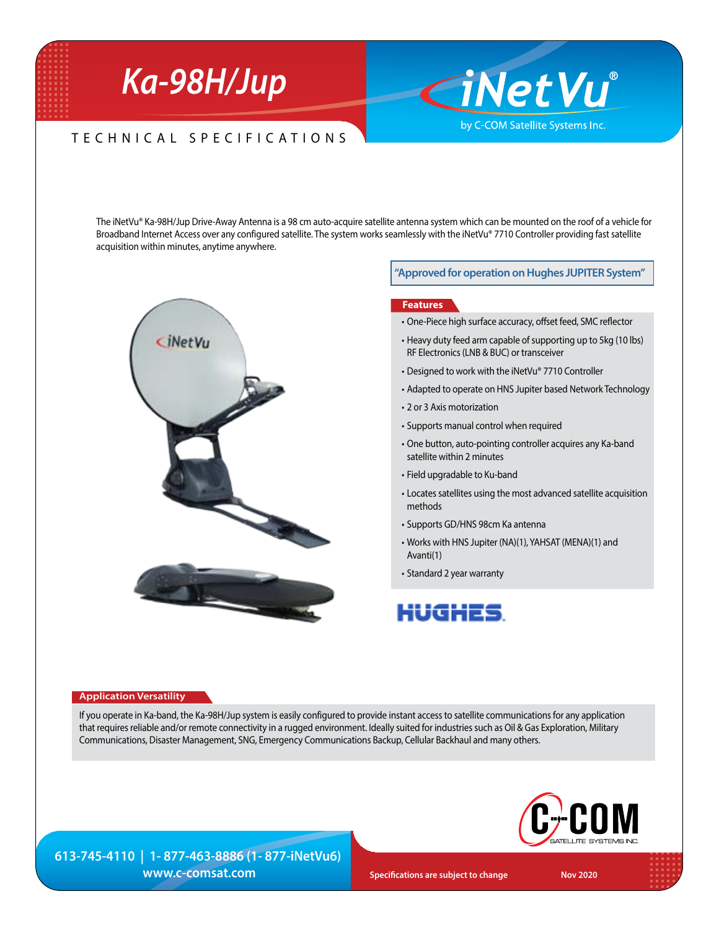# *Ka-98H/Jup*

### TECHNICAL SPECIFICATIONS

The iNetVu® Ka-98H/Jup Drive-Away Antenna is a 98 cm auto-acquire satellite antenna system which can be mounted on the roof of a vehicle for Broadband Internet Access over any configured satellite. The system works seamlessly with the iNetVu® 7710 Controller providing fast satellite acquisition within minutes, anytime anywhere.



#### **"Approved for operation on Hughes JUPITER System"**

CiNetVu®

by C-COM Satellite Systems Inc.

#### **Features**

- One-Piece high surface accuracy, offset feed, SMC reflector
- Heavy duty feed arm capable of supporting up to 5kg (10 lbs) RF Electronics (LNB & BUC) or transceiver
- Designed to work with the iNetVu® 7710 Controller
- Adapted to operate on HNS Jupiter based Network Technology
- 2 or 3 Axis motorization
- • Supports manual control when required
- One button, auto-pointing controller acquires any Ka-band satellite within 2 minutes
- • Field upgradable to Ku-band
- Locates satellites using the most advanced satellite acquisition methods
- • Supports GD/HNS 98cm Ka antenna
- • Works with HNS Jupiter (NA)(1), YAHSAT (MENA)(1) and Avanti(1)
- • Standard 2 year warranty

## HUGHES.

#### **Application Versatility**

If you operate in Ka-band, the Ka-98H/Jup system is easily configured to provide instant access to satellite communications for any application that requires reliable and/or remote connectivity in a rugged environment. Ideally suited for industries such as Oil & Gas Exploration, Military Communications, Disaster Management, SNG, Emergency Communications Backup, Cellular Backhaul and many others.



**613-745-4110 | 1- 877-463-8886 (1- 877-iNetVu6)** *WWW.C-COMSAt.COM* **Specifications are subject to change Nov 2020 Nov 2020**